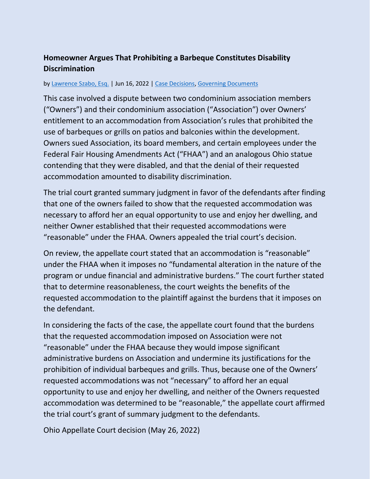## **Homeowner Argues That Prohibiting a Barbeque Constitutes Disability Discrimination**

## by [Lawrence Szabo, Esq.](https://www.hoamemberservices.com/author/larry/) | Jun 16, 2022 | [Case Decisions,](https://www.hoamemberservices.com/category/case-decisions/) [Governing Documents](https://www.hoamemberservices.com/category/governing-documents/)

This case involved a dispute between two condominium association members ("Owners") and their condominium association ("Association") over Owners' entitlement to an accommodation from Association's rules that prohibited the use of barbeques or grills on patios and balconies within the development. Owners sued Association, its board members, and certain employees under the Federal Fair Housing Amendments Act ("FHAA") and an analogous Ohio statue contending that they were disabled, and that the denial of their requested accommodation amounted to disability discrimination.

The trial court granted summary judgment in favor of the defendants after finding that one of the owners failed to show that the requested accommodation was necessary to afford her an equal opportunity to use and enjoy her dwelling, and neither Owner established that their requested accommodations were "reasonable" under the FHAA. Owners appealed the trial court's decision.

On review, the appellate court stated that an accommodation is "reasonable" under the FHAA when it imposes no "fundamental alteration in the nature of the program or undue financial and administrative burdens." The court further stated that to determine reasonableness, the court weights the benefits of the requested accommodation to the plaintiff against the burdens that it imposes on the defendant.

In considering the facts of the case, the appellate court found that the burdens that the requested accommodation imposed on Association were not "reasonable" under the FHAA because they would impose significant administrative burdens on Association and undermine its justifications for the prohibition of individual barbeques and grills. Thus, because one of the Owners' requested accommodations was not "necessary" to afford her an equal opportunity to use and enjoy her dwelling, and neither of the Owners requested accommodation was determined to be "reasonable," the appellate court affirmed the trial court's grant of summary judgment to the defendants.

Ohio Appellate Court decision (May 26, 2022)